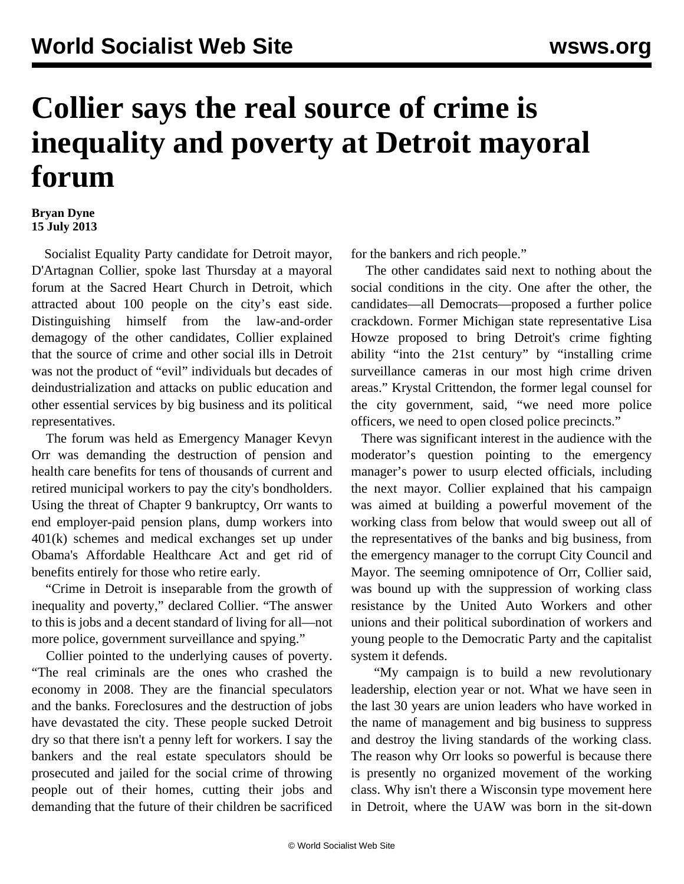## **Collier says the real source of crime is inequality and poverty at Detroit mayoral forum**

## **Bryan Dyne 15 July 2013**

 Socialist Equality Party candidate for Detroit mayor, D'Artagnan Collier, spoke last Thursday at a mayoral forum at the Sacred Heart Church in Detroit, which attracted about 100 people on the city's east side. Distinguishing himself from the law-and-order demagogy of the other candidates, Collier explained that the source of crime and other social ills in Detroit was not the product of "evil" individuals but decades of deindustrialization and attacks on public education and other essential services by big business and its political representatives.

 The forum was held as Emergency Manager Kevyn Orr was demanding the destruction of pension and health care benefits for tens of thousands of current and retired municipal workers to pay the city's bondholders. Using the threat of Chapter 9 bankruptcy, Orr wants to end employer-paid pension plans, dump workers into 401(k) schemes and medical exchanges set up under Obama's Affordable Healthcare Act and get rid of benefits entirely for those who retire early.

 "Crime in Detroit is inseparable from the growth of inequality and poverty," declared Collier. "The answer to this is jobs and a decent standard of living for all—not more police, government surveillance and spying."

 Collier pointed to the underlying causes of poverty. "The real criminals are the ones who crashed the economy in 2008. They are the financial speculators and the banks. Foreclosures and the destruction of jobs have devastated the city. These people sucked Detroit dry so that there isn't a penny left for workers. I say the bankers and the real estate speculators should be prosecuted and jailed for the social crime of throwing people out of their homes, cutting their jobs and demanding that the future of their children be sacrificed

for the bankers and rich people."

 The other candidates said next to nothing about the social conditions in the city. One after the other, the candidates—all Democrats—proposed a further police crackdown. Former Michigan state representative Lisa Howze proposed to bring Detroit's crime fighting ability "into the 21st century" by "installing crime surveillance cameras in our most high crime driven areas." Krystal Crittendon, the former legal counsel for the city government, said, "we need more police officers, we need to open closed police precincts."

 There was significant interest in the audience with the moderator's question pointing to the emergency manager's power to usurp elected officials, including the next mayor. Collier explained that his campaign was aimed at building a powerful movement of the working class from below that would sweep out all of the representatives of the banks and big business, from the emergency manager to the corrupt City Council and Mayor. The seeming omnipotence of Orr, Collier said, was bound up with the suppression of working class resistance by the United Auto Workers and other unions and their political subordination of workers and young people to the Democratic Party and the capitalist system it defends.

 "My campaign is to build a new revolutionary leadership, election year or not. What we have seen in the last 30 years are union leaders who have worked in the name of management and big business to suppress and destroy the living standards of the working class. The reason why Orr looks so powerful is because there is presently no organized movement of the working class. Why isn't there a Wisconsin type movement here in Detroit, where the UAW was born in the sit-down